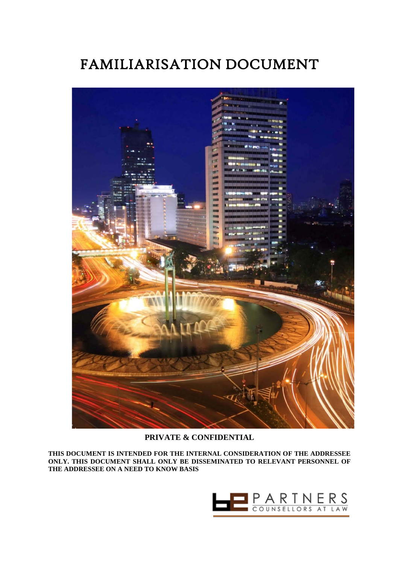# FAMILIARISATION DOCUMENT



# **PRIVATE & CONFIDENTIAL**

**THIS DOCUMENT IS INTENDED FOR THE INTERNAL CONSIDERATION OF THE ADDRESSEE ONLY. THIS DOCUMENT SHALL ONLY BE DISSEMINATED TO RELEVANT PERSONNEL OF THE ADDRESSEE ON A NEED TO KNOW BASIS**

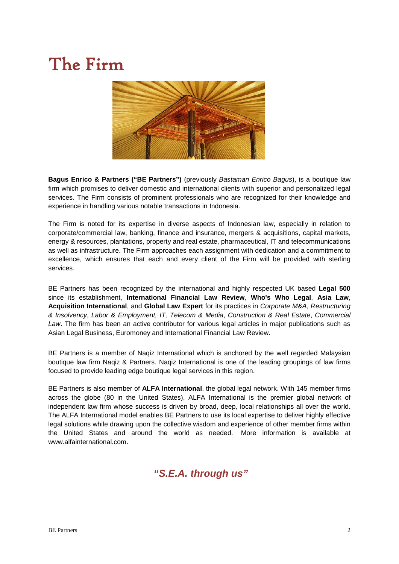# The Firm



**Bagus Enrico & Partners ("BE Partners")** (previously *Bastaman Enrico Bagus*), is a boutique law firm which promises to deliver domestic and international clients with superior and personalized legal services. The Firm consists of prominent professionals who are recognized for their knowledge and experience in handling various notable transactions in Indonesia.

The Firm is noted for its expertise in diverse aspects of Indonesian law, especially in relation to corporate/commercial law, banking, finance and insurance, mergers & acquisitions, capital markets, energy & resources, plantations, property and real estate, pharmaceutical, IT and telecommunications as well as infrastructure. The Firm approaches each assignment with dedication and a commitment to excellence, which ensures that each and every client of the Firm will be provided with sterling services.

BE Partners has been recognized by the international and highly respected UK based **Legal 500** since its establishment, **International Financial Law Review**, **Who's Who Legal**, **Asia Law**, **Acquisition International**, and **Global Law Expert** for its practices in *Corporate M&A*, *Restructuring & Insolvency*, *Labor & Employment, IT, Telecom & Media*, *Construction & Real Estate*, *Commercial Law*. The firm has been an active contributor for various legal articles in major publications such as Asian Legal Business, Euromoney and International Financial Law Review.

BE Partners is a member of Naqiz International which is anchored by the well regarded Malaysian boutique law firm Naqiz & Partners. Naqiz International is one of the leading groupings of law firms focused to provide leading edge boutique legal services in this region.

BE Partners is also member of **ALFA International**, the global legal network. With 145 member firms across the globe (80 in the United States), ALFA International is the premier global network of independent law firm whose success is driven by broad, deep, local relationships all over the world. The ALFA International model enables BE Partners to use its local expertise to deliver highly effective legal solutions while drawing upon the collective wisdom and experience of other member firms within the United States and around the world as needed. More information is available at www.alfainternational.com.

*"S.E.A. through us"*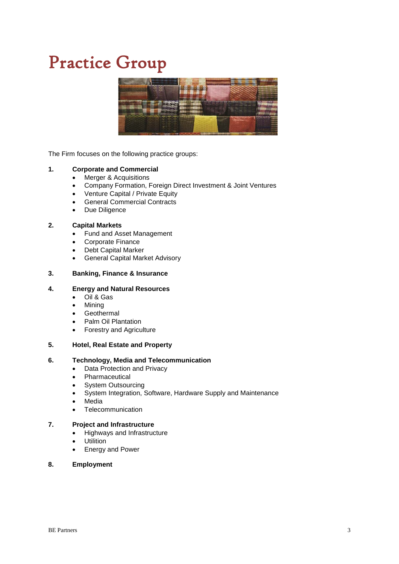# Practice Group



The Firm focuses on the following practice groups:

# **1. Corporate and Commercial**

- Merger & Acquisitions
- Company Formation, Foreign Direct Investment & Joint Ventures
- Venture Capital / Private Equity
- General Commercial Contracts
- Due Diligence

# **2. Capital Markets**

- Fund and Asset Management
- Corporate Finance
- Debt Capital Marker
- General Capital Market Advisory

#### **3. Banking, Finance & Insurance**

#### **4. Energy and Natural Resources**

- Oil & Gas
- Mining
- Geothermal
- Palm Oil Plantation
- Forestry and Agriculture

#### **5. Hotel, Real Estate and Property**

# **6. Technology, Media and Telecommunication**

- Data Protection and Privacy
- **Pharmaceutical**
- System Outsourcing
- System Integration, Software, Hardware Supply and Maintenance
- Media
- Telecommunication

### **7. Project and Infrastructure**

- Highways and Infrastructure
- Utilition
- Energy and Power

#### **8. Employment**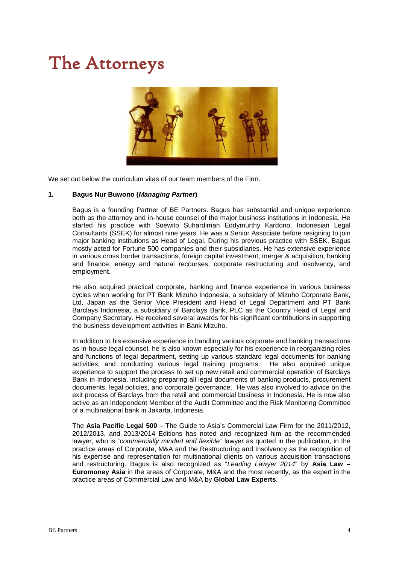# The Attorneys



We set out below the curriculum vitas of our team members of the Firm.

#### **1. Bagus Nur Buwono (***Managing Partner***)**

Bagus is a founding Partner of BE Partners. Bagus has substantial and unique experience both as the attorney and in-house counsel of the major business institutions in Indonesia. He started his practice with Soewito Suhardiman Eddymurthy Kardono, Indonesian Legal Consultants (SSEK) for almost nine years. He was a Senior Associate before resigning to join major banking institutions as Head of Legal. During his previous practice with SSEK, Bagus mostly acted for Fortune 500 companies and their subsidiaries. He has extensive experience in various cross border transactions, foreign capital investment, merger & acquisition, banking and finance, energy and natural recourses, corporate restructuring and insolvency, and employment.

He also acquired practical corporate, banking and finance experience in various business cycles when working for PT Bank Mizuho Indonesia, a subsidary of Mizuho Corporate Bank, Ltd, Japan as the Senior Vice President and Head of Legal Department and PT Bank Barclays Indonesia, a subsidiary of Barclays Bank, PLC as the Country Head of Legal and Company Secretary. He received several awards for his significant contributions in supporting the business development activities in Bank Mizuho.

In addition to his extensive experience in handling various corporate and banking transactions as in-house legal counsel, he is also known especially for his experience in reorganizing roles and functions of legal department, setting up various standard legal documents for banking activities, and conducting various legal training programs. He also acquired unique experience to support the process to set up new retail and commercial operation of Barclays Bank in Indonesia, including preparing all legal documents of banking products, procurement documents, legal policies, and corporate governance. He was also involved to advice on the exit process of Barclays from the retail and commercial business in Indonesia. He is now also active as an Independent Member of the Audit Committee and the Risk Monitoring Committee of a multinational bank in Jakarta, Indonesia.

The **Asia Pacific Legal 500** – The Guide to Asia's Commercial Law Firm for the 2011/2012, 2012/2013, and 2013/2014 Editions has noted and recognized him as the recommended lawyer, who is "*commercially minded and flexible"* lawyer as quoted in the publication, in the practice areas of Corporate, M&A and the Restructuring and Insolvency as the recognition of his expertise and representation for multinational clients on various acquisition transactions and restructuring. Bagus is also recognized as "*Leading Lawyer 2014*" by **Asia Law – Euromoney Asia** in the areas of Corporate, M&A and the most recently, as the expert in the practice areas of Commercial Law and M&A by **Global Law Experts**.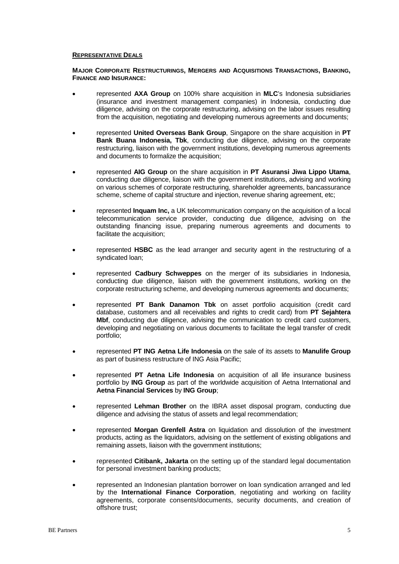#### **REPRESENTATIVE DEALS**

#### **MAJOR CORPORATE RESTRUCTURINGS, MERGERS AND ACQUISITIONS TRANSACTIONS, BANKING, FINANCE AND INSURANCE:**

- represented **AXA Group** on 100% share acquisition in **MLC**'s Indonesia subsidiaries (insurance and investment management companies) in Indonesia, conducting due diligence, advising on the corporate restructuring, advising on the labor issues resulting from the acquisition, negotiating and developing numerous agreements and documents;
- represented **United Overseas Bank Group**, Singapore on the share acquisition in **PT Bank Buana Indonesia, Tbk**, conducting due diligence, advising on the corporate restructuring, liaison with the government institutions, developing numerous agreements and documents to formalize the acquisition;
- represented **AIG Group** on the share acquisition in **PT Asuransi Jiwa Lippo Utama**, conducting due diligence, liaison with the government institutions, advising and working on various schemes of corporate restructuring, shareholder agreements, bancassurance scheme, scheme of capital structure and injection, revenue sharing agreement, etc;
- represented **Inquam Inc,** a UK telecommunication company on the acquisition of a local telecommunication service provider, conducting due diligence, advising on the outstanding financing issue, preparing numerous agreements and documents to facilitate the acquisition;
- represented **HSBC** as the lead arranger and security agent in the restructuring of a syndicated loan;
- represented **Cadbury Schweppes** on the merger of its subsidiaries in Indonesia, conducting due diligence, liaison with the government institutions, working on the corporate restructuring scheme, and developing numerous agreements and documents;
- represented **PT Bank Danamon Tbk** on asset portfolio acquisition (credit card database, customers and all receivables and rights to credit card) from **PT Sejahtera Mbf**, conducting due diligence, advising the communication to credit card customers, developing and negotiating on various documents to facilitate the legal transfer of credit portfolio;
- represented **PT ING Aetna Life Indonesia** on the sale of its assets to **Manulife Group** as part of business restructure of ING Asia Pacific;
- represented **PT Aetna Life Indonesia** on acquisition of all life insurance business portfolio by **ING Group** as part of the worldwide acquisition of Aetna International and **Aetna Financial Services** by **ING Group**;
- represented **Lehman Brother** on the IBRA asset disposal program, conducting due diligence and advising the status of assets and legal recommendation;
- represented **Morgan Grenfell Astra** on liquidation and dissolution of the investment products, acting as the liquidators, advising on the settlement of existing obligations and remaining assets, liaison with the government institutions;
- represented **Citibank, Jakarta** on the setting up of the standard legal documentation for personal investment banking products;
- represented an Indonesian plantation borrower on loan syndication arranged and led by the **International Finance Corporation**, negotiating and working on facility agreements, corporate consents/documents, security documents, and creation of offshore trust;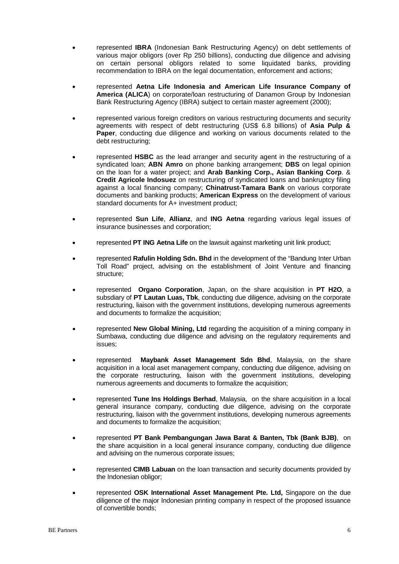- represented **IBRA** (Indonesian Bank Restructuring Agency) on debt settlements of various major obligors (over Rp 250 billions), conducting due diligence and advising on certain personal obligors related to some liquidated banks, providing recommendation to IBRA on the legal documentation, enforcement and actions;
- represented **Aetna Life Indonesia and American Life Insurance Company of America (ALICA**) on corporate/loan restructuring of Danamon Group by Indonesian Bank Restructuring Agency (IBRA) subject to certain master agreement (2000);
- represented various foreign creditors on various restructuring documents and security agreements with respect of debt restructuring (US\$ 6.8 billions) of **Asia Pulp & Paper**, conducting due diligence and working on various documents related to the debt restructuring;
- represented **HSBC** as the lead arranger and security agent in the restructuring of a syndicated loan; **ABN Amro** on phone banking arrangement; **DBS** on legal opinion on the loan for a water project; and **Arab Banking Corp., Asian Banking Corp**. & **Credit Agricole Indosuez** on restructuring of syndicated loans and bankruptcy filing against a local financing company; **Chinatrust-Tamara Bank** on various corporate documents and banking products; **American Express** on the development of various standard documents for A+ investment product;
- represented **Sun Life**, **Allianz**, and **ING Aetna** regarding various legal issues of insurance businesses and corporation;
- represented **PT ING Aetna Life** on the lawsuit against marketing unit link product;
- represented **Rafulin Holding Sdn. Bhd** in the development of the "Bandung Inter Urban Toll Road" project, advising on the establishment of Joint Venture and financing structure;
- represented **Organo Corporation**, Japan, on the share acquisition in **PT H2O**, a subsdiary of **PT Lautan Luas, Tbk**, conducting due diligence, advising on the corporate restructuring, liaison with the government institutions, developing numerous agreements and documents to formalize the acquisition;
- represented **New Global Mining, Ltd** regarding the acquisition of a mining company in Sumbawa, conducting due diligence and advising on the regulatory requirements and issues;
- represented **Maybank Asset Management Sdn Bhd**, Malaysia, on the share acquisition in a local aset management company, conducting due diligence, advising on the corporate restructuring, liaison with the government institutions, developing numerous agreements and documents to formalize the acquisition;
- represented **Tune Ins Holdings Berhad**, Malaysia, on the share acquisition in a local general insurance company, conducting due diligence, advising on the corporate restructuring, liaison with the government institutions, developing numerous agreements and documents to formalize the acquisition;
- represented **PT Bank Pembangungan Jawa Barat & Banten, Tbk (Bank BJB)**, on the share acquisition in a local general insurance company, conducting due diligence and advising on the numerous corporate issues;
- represented **CIMB Labuan** on the loan transaction and security documents provided by the Indonesian obligor;
- represented **OSK International Asset Management Pte. Ltd,** Singapore on the due diligence of the major Indonesian printing company in respect of the proposed issuance of convertible bonds;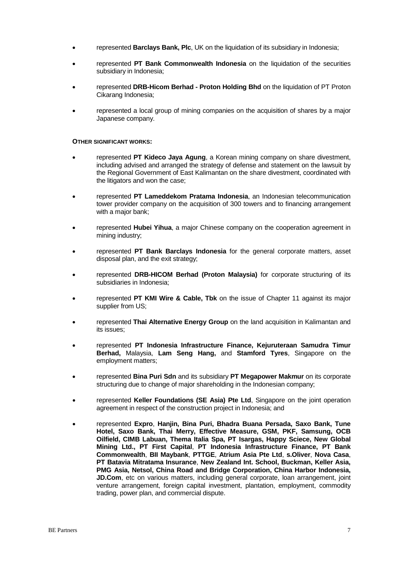- represented **Barclays Bank, Plc**, UK on the liquidation of its subsidiary in Indonesia;
- represented **PT Bank Commonwealth Indonesia** on the liquidation of the securities subsidiary in Indonesia;
- represented **DRB-Hicom Berhad - Proton Holding Bhd** on the liquidation of PT Proton Cikarang Indonesia;
- represented a local group of mining companies on the acquisition of shares by a major Japanese company.

#### **OTHER SIGNIFICANT WORKS:**

- represented **PT Kideco Jaya Agung**, a Korean mining company on share divestment, including advised and arranged the strategy of defense and statement on the lawsuit by the Regional Government of East Kalimantan on the share divestment, coordinated with the litigators and won the case;
- represented **PT Lameddekom Pratama Indonesia**, an Indonesian telecommunication tower provider company on the acquisition of 300 towers and to financing arrangement with a major bank:
- represented **Hubei Yihua**, a major Chinese company on the cooperation agreement in mining industry;
- represented **PT Bank Barclays Indonesia** for the general corporate matters, asset disposal plan, and the exit strategy;
- represented **DRB-HICOM Berhad (Proton Malaysia)** for corporate structuring of its subsidiaries in Indonesia;
- represented **PT KMI Wire & Cable, Tbk** on the issue of Chapter 11 against its major supplier from US;
- represented **Thai Alternative Energy Group** on the land acquisition in Kalimantan and its issues;
- represented **PT Indonesia Infrastructure Finance, Kejuruteraan Samudra Timur Berhad,** Malaysia, **Lam Seng Hang,** and **Stamford Tyres**, Singapore on the employment matters;
- represented **Bina Puri Sdn** and its subsidiary **PT Megapower Makmur** on its corporate structuring due to change of major shareholding in the Indonesian company;
- represented **Keller Foundations (SE Asia) Pte Ltd**, Singapore on the joint operation agreement in respect of the construction project in Indonesia; and
- represented **Expro**, **Hanjin, Bina Puri, Bhadra Buana Persada, Saxo Bank, Tune Hotel, Saxo Bank, Thai Merry, Effective Measure, GSM, PKF, Samsung, OCB Oilfield, CIMB Labuan, Thema Italia Spa, PT Isargas, Happy Sciece, New Global Mining Ltd., PT First Capital**, **PT Indonesia Infrastructure Finance, PT Bank Commonwealth**, **BII Maybank**, **PTTGE**, **Atrium Asia Pte Ltd**, **s.Oliver**, **Nova Casa**, **PT Batavia Mitratama Insurance**, **New Zealand Int. School, Buckman, Keller Asia, PMG Asia, Netsol, China Road and Bridge Corporation, China Harbor Indonesia,**  JD.Com, etc on various matters, including general corporate, loan arrangement, joint venture arrangement, foreign capital investment, plantation, employment, commodity trading, power plan, and commercial dispute.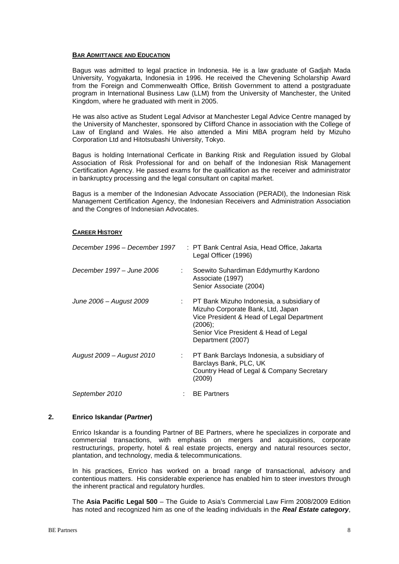Bagus was admitted to legal practice in Indonesia. He is a law graduate of Gadjah Mada University, Yogyakarta, Indonesia in 1996. He received the Chevening Scholarship Award from the Foreign and Commenwealth Office, British Government to attend a postgraduate program in International Business Law (LLM) from the University of Manchester, the United Kingdom, where he graduated with merit in 2005.

He was also active as Student Legal Advisor at Manchester Legal Advice Centre managed by the University of Manchester, sponsored by Clifford Chance in association with the College of Law of England and Wales. He also attended a Mini MBA program held by Mizuho Corporation Ltd and Hitotsubashi University, Tokyo.

Bagus is holding International Cerficate in Banking Risk and Regulation issued by Global Association of Risk Professional for and on behalf of the Indonesian Risk Management Certification Agency. He passed exams for the qualification as the receiver and administrator in bankruptcy processing and the legal consultant on capital market.

Bagus is a member of the Indonesian Advocate Association (PERADI), the Indonesian Risk Management Certification Agency, the Indonesian Receivers and Administration Association and the Congres of Indonesian Advocates.

#### **CAREER HISTORY**

| December 1996 - December 1997 | : PT Bank Central Asia, Head Office, Jakarta<br>Legal Officer (1996)                                                                                                                                   |
|-------------------------------|--------------------------------------------------------------------------------------------------------------------------------------------------------------------------------------------------------|
| December 1997 – June 2006     | Soewito Suhardiman Eddymurthy Kardono<br>Associate (1997)<br>Senior Associate (2004)                                                                                                                   |
| June 2006 – August 2009       | : PT Bank Mizuho Indonesia, a subsidiary of<br>Mizuho Corporate Bank, Ltd, Japan<br>Vice President & Head of Legal Department<br>(2006);<br>Senior Vice President & Head of Legal<br>Department (2007) |
| August 2009 – August 2010     | PT Bank Barclays Indonesia, a subsidiary of<br>Barclays Bank, PLC, UK<br>Country Head of Legal & Company Secretary<br>(2009)                                                                           |
| September 2010                | <b>BE Partners</b>                                                                                                                                                                                     |

#### **2. Enrico Iskandar (***Partner***)**

Enrico Iskandar is a founding Partner of BE Partners, where he specializes in corporate and commercial transactions, with emphasis on mergers and acquisitions, corporate restructurings, property, hotel & real estate projects, energy and natural resources sector, plantation, and technology, media & telecommunications.

In his practices, Enrico has worked on a broad range of transactional, advisory and contentious matters. His considerable experience has enabled him to steer investors through the inherent practical and regulatory hurdles.

The **Asia Pacific Legal 500** – The Guide to Asia's Commercial Law Firm 2008/2009 Edition has noted and recognized him as one of the leading individuals in the *Real Estate category*,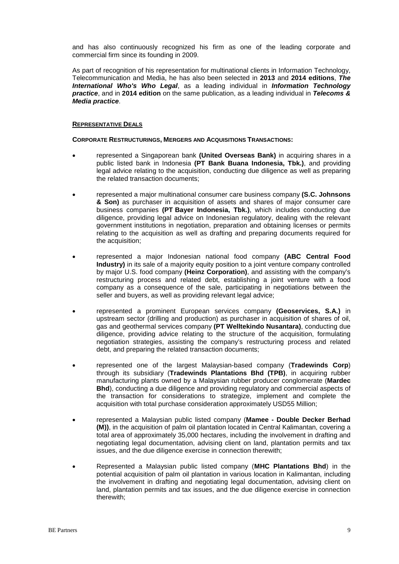and has also continuously recognized his firm as one of the leading corporate and commercial firm since its founding in 2009.

As part of recognition of his representation for multinational clients in Information Technology, Telecommunication and Media, he has also been selected in **2013** and **2014 editions**, *The International Who's Who Legal*, as a leading individual in *Information Technology practice*, and in **2014 edition** on the same publication, as a leading individual in *Telecoms & Media practice*.

#### **REPRESENTATIVE DEALS**

**CORPORATE RESTRUCTURINGS, MERGERS AND ACQUISITIONS TRANSACTIONS:**

- represented a Singaporean bank **(United Overseas Bank)** in acquiring shares in a public listed bank in Indonesia **(PT Bank Buana Indonesia, Tbk.)**, and providing legal advice relating to the acquisition, conducting due diligence as well as preparing the related transaction documents;
- represented a major multinational consumer care business company **(S.C. Johnsons & Son)** as purchaser in acquisition of assets and shares of major consumer care business companies **(PT Bayer Indonesia, Tbk.)**, which includes conducting due diligence, providing legal advice on Indonesian regulatory, dealing with the relevant government institutions in negotiation, preparation and obtaining licenses or permits relating to the acquisition as well as drafting and preparing documents required for the acquisition;
- represented a major Indonesian national food company **(ABC Central Food Industry)** in its sale of a majority equity position to a joint venture company controlled by major U.S. food company **(Heinz Corporation)**, and assisting with the company's restructuring process and related debt, establishing a joint venture with a food company as a consequence of the sale, participating in negotiations between the seller and buyers, as well as providing relevant legal advice;
- represented a prominent European services company **(Geoservices, S.A.)** in upstream sector (drilling and production) as purchaser in acquisition of shares of oil, gas and geothermal services company **(PT Welltekindo Nusantara)**, conducting due diligence, providing advice relating to the structure of the acquisition, formulating negotiation strategies, assisting the company's restructuring process and related debt, and preparing the related transaction documents;
- represented one of the largest Malaysian-based company (**Tradewinds Corp**) through its subsidiary (**Tradewinds Plantations Bhd (TPB)**, in acquiring rubber manufacturing plants owned by a Malaysian rubber producer conglomerate (**Mardec Bhd**), conducting a due diligence and providing regulatory and commercial aspects of the transaction for considerations to strategize, implement and complete the acquisition with total purchase consideration approximately USD55 Million;
- represented a Malaysian public listed company (**Mamee - Double Decker Berhad (M))**, in the acquisition of palm oil plantation located in Central Kalimantan, covering a total area of approximately 35,000 hectares, including the involvement in drafting and negotiating legal documentation, advising client on land, plantation permits and tax issues, and the due diligence exercise in connection therewith;
- Represented a Malaysian public listed company (**MHC Plantations Bhd**) in the potential acquisition of palm oil plantation in various location in Kalimantan, including the involvement in drafting and negotiating legal documentation, advising client on land, plantation permits and tax issues, and the due diligence exercise in connection therewith;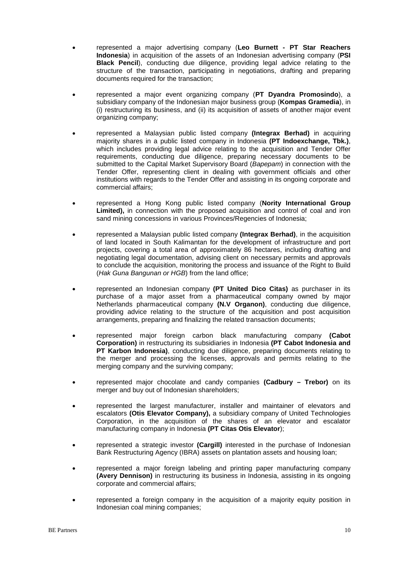- represented a major advertising company (**Leo Burnett - PT Star Reachers Indonesia**) in acquisition of the assets of an Indonesian advertising company (**PSI Black Pencil**), conducting due diligence, providing legal advice relating to the structure of the transaction, participating in negotiations, drafting and preparing documents required for the transaction;
- represented a major event organizing company (**PT Dyandra Promosindo**), a subsidiary company of the Indonesian major business group (**Kompas Gramedia**), in (i) restructuring its business, and (ii) its acquisition of assets of another major event organizing company;
- represented a Malaysian public listed company **(Integrax Berhad)** in acquiring majority shares in a public listed company in Indonesia **(PT Indoexchange, Tbk.)**, which includes providing legal advice relating to the acquisition and Tender Offer requirements, conducting due diligence, preparing necessary documents to be submitted to the Capital Market Supervisory Board (*Bapepam*) in connection with the Tender Offer, representing client in dealing with government officials and other institutions with regards to the Tender Offer and assisting in its ongoing corporate and commercial affairs;
- represented a Hong Kong public listed company (**Nority International Group Limited),** in connection with the proposed acquisition and control of coal and iron sand mining concessions in various Provinces/Regencies of Indonesia;
- represented a Malaysian public listed company **(Integrax Berhad)**, in the acquisition of land located in South Kalimantan for the development of infrastructure and port projects, covering a total area of approximately 86 hectares, including drafting and negotiating legal documentation, advising client on necessary permits and approvals to conclude the acquisition, monitoring the process and issuance of the Right to Build (*Hak Guna Bangunan or HGB*) from the land office;
- represented an Indonesian company **(PT United Dico Citas)** as purchaser in its purchase of a major asset from a pharmaceutical company owned by major Netherlands pharmaceutical company **(N.V Organon)**, conducting due diligence, providing advice relating to the structure of the acquisition and post acquisition arrangements, preparing and finalizing the related transaction documents;
- represented major foreign carbon black manufacturing company **(Cabot Corporation)** in restructuring its subsidiaries in Indonesia **(PT Cabot Indonesia and PT Karbon Indonesia)**, conducting due diligence, preparing documents relating to the merger and processing the licenses, approvals and permits relating to the merging company and the surviving company;
- represented major chocolate and candy companies **(Cadbury – Trebor)** on its merger and buy out of Indonesian shareholders;
- represented the largest manufacturer, installer and maintainer of elevators and escalators **(Otis Elevator Company),** a subsidiary company of United Technologies Corporation, in the acquisition of the shares of an elevator and escalator manufacturing company in Indonesia **(PT Citas Otis Elevator**);
- represented a strategic investor **(Cargill)** interested in the purchase of Indonesian Bank Restructuring Agency (IBRA) assets on plantation assets and housing loan;
- represented a major foreign labeling and printing paper manufacturing company **(Avery Dennison)** in restructuring its business in Indonesia, assisting in its ongoing corporate and commercial affairs;
- represented a foreign company in the acquisition of a majority equity position in Indonesian coal mining companies;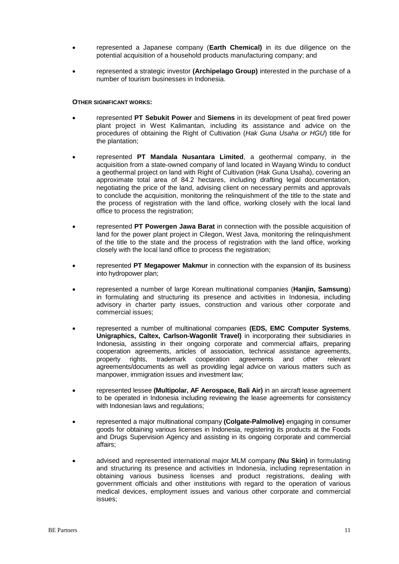- represented a Japanese company (**Earth Chemical)** in its due diligence on the potential acquisition of a household products manufacturing company; and
- represented a strategic investor **(Archipelago Group)** interested in the purchase of a number of tourism businesses in Indonesia.

#### **OTHER SIGNIFICANT WORKS:**

- represented **PT Sebukit Power** and **Siemens** in its development of peat fired power plant project in West Kalimantan, including its assistance and advice on the procedures of obtaining the Right of Cultivation (*Hak Guna Usaha or HGU*) title for the plantation;
- represented **PT Mandala Nusantara Limited**, a geothermal company, in the acquisition from a state-owned company of land located in Wayang Windu to conduct a geothermal project on land with Right of Cultivation (Hak Guna Usaha), covering an approximate total area of 84.2 hectares, including drafting legal documentation, negotiating the price of the land, advising client on necessary permits and approvals to conclude the acquisition, monitoring the relinquishment of the title to the state and the process of registration with the land office, working closely with the local land office to process the registration;
- represented **PT Powergen Jawa Barat** in connection with the possible acquisition of land for the power plant project in Cilegon, West Java, monitoring the relinquishment of the title to the state and the process of registration with the land office, working closely with the local land office to process the registration;
- represented **PT Megapower Makmur** in connection with the expansion of its business into hydropower plan;
- represented a number of large Korean multinational companies (**Hanjin, Samsung**) in formulating and structuring its presence and activities in Indonesia, including advisory in charter party issues, construction and various other corporate and commercial issues;
- represented a number of multinational companies **(EDS, EMC Computer Systems**, **Unigraphics, Caltex, Carlson-Wagonlit Travel)** in incorporating their subsidiaries in Indonesia, assisting in their ongoing corporate and commercial affairs, preparing cooperation agreements, articles of association, technical assistance agreements, property rights, trademark cooperation agreements and other relevant agreements/documents as well as providing legal advice on various matters such as manpower, immigration issues and investment law;
- represented lessee **(Multipolar, AF Aerospace, Bali Air)** in an aircraft lease agreement to be operated in Indonesia including reviewing the lease agreements for consistency with Indonesian laws and regulations;
- represented a major multinational company **(Colgate-Palmolive)** engaging in consumer goods for obtaining various licenses in Indonesia, registering its products at the Foods and Drugs Supervision Agency and assisting in its ongoing corporate and commercial affairs;
- advised and represented international major MLM company **(Nu Skin)** in formulating and structuring its presence and activities in Indonesia, including representation in obtaining various business licenses and product registrations, dealing with government officials and other institutions with regard to the operation of various medical devices, employment issues and various other corporate and commercial issues;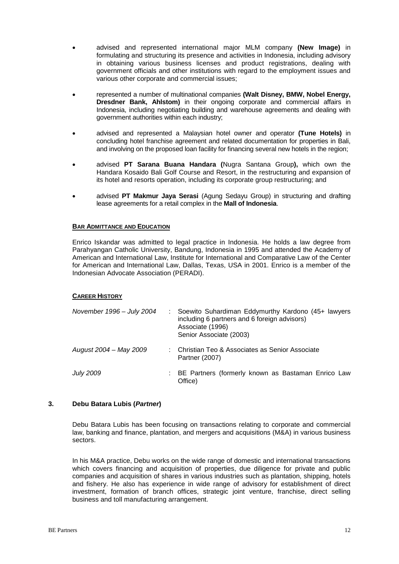- advised and represented international major MLM company **(New Image)** in formulating and structuring its presence and activities in Indonesia, including advisory in obtaining various business licenses and product registrations, dealing with government officials and other institutions with regard to the employment issues and various other corporate and commercial issues;
- represented a number of multinational companies **(Walt Disney, BMW, Nobel Energy, Dresdner Bank, Ahlstom)** in their ongoing corporate and commercial affairs in Indonesia, including negotiating building and warehouse agreements and dealing with government authorities within each industry;
- advised and represented a Malaysian hotel owner and operator **(Tune Hotels)** in concluding hotel franchise agreement and related documentation for properties in Bali, and involving on the proposed loan facility for financing several new hotels in the region;
- advised **PT Sarana Buana Handara (**Nugra Santana Group**),** which own the Handara Kosaido Bali Golf Course and Resort, in the restructuring and expansion of its hotel and resorts operation, including its corporate group restructuring; and
- advised **PT Makmur Jaya Serasi** (Agung Sedayu Group) in structuring and drafting lease agreements for a retail complex in the **Mall of Indonesia**.

Enrico Iskandar was admitted to legal practice in Indonesia. He holds a law degree from Parahyangan Catholic University, Bandung, Indonesia in 1995 and attended the Academy of American and International Law, Institute for International and Comparative Law of the Center for American and International Law, Dallas, Texas, USA in 2001. Enrico is a member of the Indonesian Advocate Association (PERADI).

# **CAREER HISTORY**

| November 1996 - July 2004 | Soewito Suhardiman Eddymurthy Kardono (45+ lawyers<br>including 6 partners and 6 foreign advisors)<br>Associate (1996)<br>Senior Associate (2003) |
|---------------------------|---------------------------------------------------------------------------------------------------------------------------------------------------|
| August 2004 - May 2009    | Christian Teo & Associates as Senior Associate<br>Partner (2007)                                                                                  |
| <b>July 2009</b>          | : BE Partners (formerly known as Bastaman Enrico Law<br>Office)                                                                                   |

#### **3. Debu Batara Lubis (***Partner***)**

Debu Batara Lubis has been focusing on transactions relating to corporate and commercial law, banking and finance, plantation, and mergers and acquisitions (M&A) in various business sectors.

In his M&A practice, Debu works on the wide range of domestic and international transactions which covers financing and acquisition of properties, due diligence for private and public companies and acquisition of shares in various industries such as plantation, shipping, hotels and fishery. He also has experience in wide range of advisory for establishment of direct investment, formation of branch offices, strategic joint venture, franchise, direct selling business and toll manufacturing arrangement.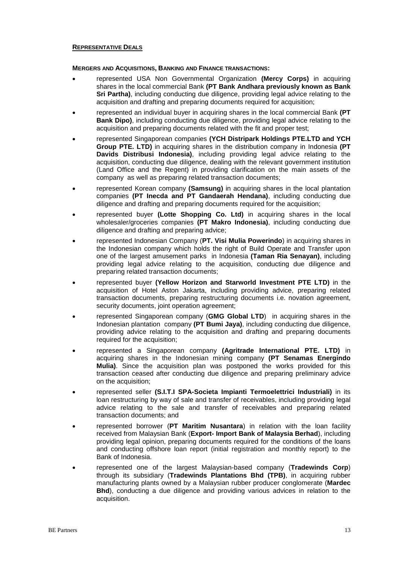#### **REPRESENTATIVE DEALS**

#### **MERGERS AND ACQUISITIONS, BANKING AND FINANCE TRANSACTIONS:**

- represented USA Non Governmental Organization **(Mercy Corps)** in acquiring shares in the local commercial Bank **(PT Bank Andhara previously known as Bank Sri Partha)**, including conducting due diligence, providing legal advice relating to the acquisition and drafting and preparing documents required for acquisition;
- represented an individual buyer in acquiring shares in the local commercial Bank **(PT Bank Dipo)**, including conducting due diligence, providing legal advice relating to the acquisition and preparing documents related with the fit and proper test;
- represented Singaporean companies **(YCH Distripark Holdings PTE.LTD and YCH Group PTE. LTD)** in acquiring shares in the distribution company in Indonesia **(PT Davids Distribusi Indonesia)**, including providing legal advice relating to the acquisition, conducting due diligence, dealing with the relevant government institution (Land Office and the Regent) in providing clarification on the main assets of the company as well as preparing related transaction documents;
- represented Korean company **(Samsung)** in acquiring shares in the local plantation companies **(PT Inecda and PT Gandaerah Hendana)**, including conducting due diligence and drafting and preparing documents required for the acquisition;
- represented buyer **(Lotte Shopping Co. Ltd)** in acquiring shares in the local wholesaler/groceries companies **(PT Makro Indonesia)**, including conducting due diligence and drafting and preparing advice;
- represented Indonesian Company (**PT. Visi Mulia Powerindo**) in acquiring shares in the Indonesian company which holds the right of Build Operate and Transfer upon one of the largest amusement parks in Indonesia **(Taman Ria Senayan)**, including providing legal advice relating to the acquisition, conducting due diligence and preparing related transaction documents;
- represented buyer **(Yellow Horizon and Starworld Investment PTE LTD)** in the acquisition of Hotel Aston Jakarta, including providing advice, preparing related transaction documents, preparing restructuring documents i.e. novation agreement, security documents, joint operation agreement;
- represented Singaporean company (**GMG Global LTD**) in acquiring shares in the Indonesian plantation company **(PT Bumi Jaya)**, including conducting due diligence, providing advice relating to the acquisition and drafting and preparing documents required for the acquisition;
- represented a Singaporean company **(Agritrade International PTE. LTD)** in acquiring shares in the Indonesian mining company **(PT Senamas Energindo Mulia)**. Since the acquisition plan was postponed the works provided for this transaction ceased after conducting due diligence and preparing preliminary advice on the acquisition;
- represented seller **(S.I.T.I SPA-Societa Impianti Termoelettrici Industriali)** in its loan restructuring by way of sale and transfer of receivables, including providing legal advice relating to the sale and transfer of receivables and preparing related transaction documents; and
- represented borrower (**PT Maritim Nusantara**) in relation with the loan facility received from Malaysian Bank (**Export- Import Bank of Malaysia Berhad**), including providing legal opinion, preparing documents required for the conditions of the loans and conducting offshore loan report (initial registration and monthly report) to the Bank of Indonesia.
- represented one of the largest Malaysian-based company (**Tradewinds Corp**) through its subsidiary (**Tradewinds Plantations Bhd (TPB)**, in acquiring rubber manufacturing plants owned by a Malaysian rubber producer conglomerate (**Mardec Bhd**), conducting a due diligence and providing various advices in relation to the acquisition.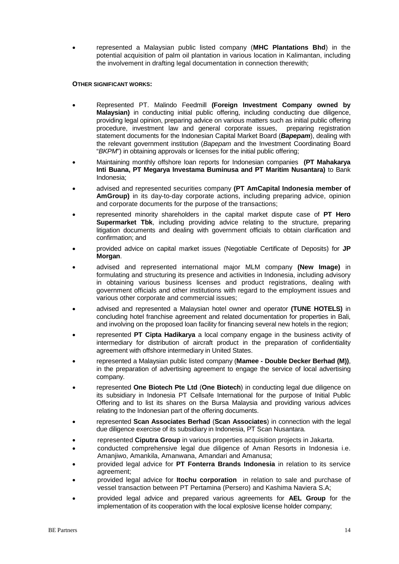• represented a Malaysian public listed company (**MHC Plantations Bhd**) in the potential acquisition of palm oil plantation in various location in Kalimantan, including the involvement in drafting legal documentation in connection therewith;

#### **OTHER SIGNIFICANT WORKS:**

- Represented PT. Malindo Feedmill **(Foreign Investment Company owned by Malaysian)** in conducting initial public offering, including conducting due diligence, providing legal opinion, preparing advice on various matters such as initial public offering procedure, investment law and general corporate issues, preparing registration statement documents for the Indonesian Capital Market Board (*Bapepam*), dealing with the relevant government institution (*Bapepam* and the Investment Coordinating Board "*BKPM*") in obtaining approvals or licenses for the initial public offering;
- Maintaining monthly offshore loan reports for Indonesian companies **(PT Mahakarya Inti Buana, PT Megarya Investama Buminusa and PT Maritim Nusantara)** to Bank Indonesia;
- advised and represented securities company **(PT AmCapital Indonesia member of AmGroup)** in its day-to-day corporate actions, including preparing advice, opinion and corporate documents for the purpose of the transactions;
- represented minority shareholders in the capital market dispute case of **PT Hero Supermarket Tbk**, including providing advice relating to the structure, preparing litigation documents and dealing with government officials to obtain clarification and confirmation; and
- provided advice on capital market issues (Negotiable Certificate of Deposits) for **JP Morgan**.
- advised and represented international major MLM company **(New Image)** in formulating and structuring its presence and activities in Indonesia, including advisory in obtaining various business licenses and product registrations, dealing with government officials and other institutions with regard to the employment issues and various other corporate and commercial issues;
- advised and represented a Malaysian hotel owner and operator **(TUNE HOTELS)** in concluding hotel franchise agreement and related documentation for properties in Bali, and involving on the proposed loan facility for financing several new hotels in the region;
- represented **PT Cipta Hadikarya** a local company engage in the business activity of intermediary for distribution of aircraft product in the preparation of confidentiality agreement with offshore intermediary in United States.
- represented a Malaysian public listed company (**Mamee - Double Decker Berhad (M))**, in the preparation of advertising agreement to engage the service of local advertising company.
- represented **One Biotech Pte Ltd** (**One Biotech**) in conducting legal due diligence on its subsidiary in Indonesia PT Cellsafe International for the purpose of Initial Public Offering and to list its shares on the Bursa Malaysia and providing various advices relating to the Indonesian part of the offering documents.
- represented **Scan Associates Berhad** (**Scan Associates**) in connection with the legal due diligence exercise of its subsidiary in Indonesia, PT Scan Nusantara.
- represented **Ciputra Group** in various properties acquisition projects in Jakarta.
- conducted comprehensive legal due diligence of Aman Resorts in Indonesia i.e. Amanjiwo, Amankila, Amanwana, Amandari and Amanusa;
- provided legal advice for **PT Fonterra Brands Indonesia** in relation to its service agreement;
- provided legal advice for **Itochu corporation** in relation to sale and purchase of vessel transaction between PT Pertamina (Persero) and Kashima Naviera S.A;
- provided legal advice and prepared various agreements for **AEL Group** for the implementation of its cooperation with the local explosive license holder company;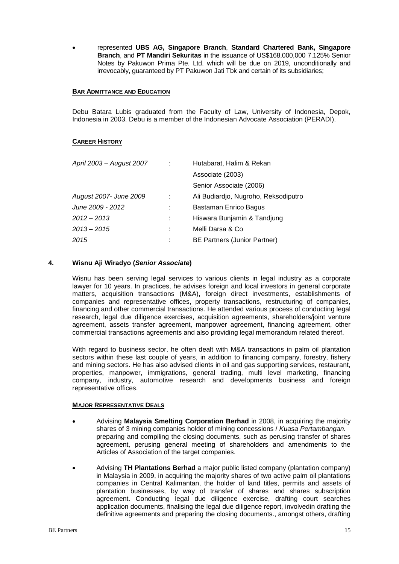• represented **UBS AG, Singapore Branch**, **Standard Chartered Bank, Singapore Branch**, and **PT Mandiri Sekuritas** in the issuance of US\$168,000,000 7.125% Senior Notes by Pakuwon Prima Pte. Ltd. which will be due on 2019, unconditionally and irrevocably, guaranteed by PT Pakuwon Jati Tbk and certain of its subsidiaries;

#### **BAR ADMITTANCE AND EDUCATION**

Debu Batara Lubis graduated from the Faculty of Law, University of Indonesia, Depok, Indonesia in 2003. Debu is a member of the Indonesian Advocate Association (PERADI).

#### **CAREER HISTORY**

| April 2003 - August 2007 | Hutabarat, Halim & Rekan             |  |
|--------------------------|--------------------------------------|--|
|                          | Associate (2003)                     |  |
|                          | Senior Associate (2006)              |  |
| August 2007- June 2009   | Ali Budiardio, Nugroho, Reksodiputro |  |
| June 2009 - 2012         | Bastaman Enrico Bagus                |  |
| 2012 – 2013              | Hiswara Bunjamin & Tandjung          |  |
| 2013-2015                | Melli Darsa & Co                     |  |
| 2015                     | BE Partners (Junior Partner)         |  |
|                          |                                      |  |

#### **4. Wisnu Aji Wiradyo (***Senior Associate***)**

Wisnu has been serving legal services to various clients in legal industry as a corporate lawyer for 10 years. In practices, he advises foreign and local investors in general corporate matters, acquisition transactions (M&A), foreign direct investments, establishments of companies and representative offices, property transactions, restructuring of companies, financing and other commercial transactions. He attended various process of conducting legal research, legal due diligence exercises, acquisition agreements, shareholders/joint venture agreement, assets transfer agreement, manpower agreement, financing agreement, other commercial transactions agreements and also providing legal memorandum related thereof.

With regard to business sector, he often dealt with M&A transactions in palm oil plantation sectors within these last couple of years, in addition to financing company, forestry, fishery and mining sectors. He has also advised clients in oil and gas supporting services, restaurant, properties, manpower, immigrations, general trading, multi level marketing, financing company, industry, automotive research and developments business and foreign representative offices.

#### **MAJOR REPRESENTATIVE DEALS**

- Advising **Malaysia Smelting Corporation Berhad** in 2008, in acquiring the majority shares of 3 mining companies holder of mining concessions / *Kuasa Pertambangan.* preparing and compiling the closing documents, such as perusing transfer of shares agreement, perusing general meeting of shareholders and amendments to the Articles of Association of the target companies.
- Advising **TH Plantations Berhad** a major public listed company (plantation company) in Malaysia in 2009, in acquiring the majority shares of two active palm oil plantations companies in Central Kalimantan, the holder of land titles, permits and assets of plantation businesses, by way of transfer of shares and shares subscription agreement. Conducting legal due diligence exercise, drafting court searches application documents, finalising the legal due diligence report, involvedin drafting the definitive agreements and preparing the closing documents., amongst others, drafting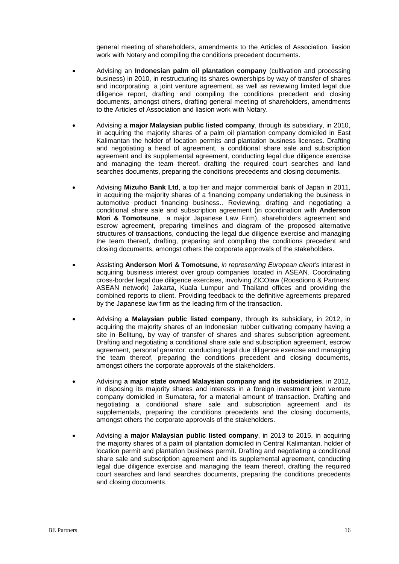general meeting of shareholders, amendments to the Articles of Association, liasion work with Notary and compiling the conditions precedent documents.

- Advising an **Indonesian palm oil plantation company** (cultivation and processing business) in 2010, in restructuring its shares ownerships by way of transfer of shares and incorporating a joint venture agreement, as well as reviewing limited legal due diligence report, drafting and compiling the conditions precedent and closing documents, amongst others, drafting general meeting of shareholders, amendments to the Articles of Association and liasion work with Notary.
- Advising **a major Malaysian public listed company**, through its subsidiary, in 2010, in acquiring the majority shares of a palm oil plantation company domiciled in East Kalimantan the holder of location permits and plantation business licenses. Drafting and negotiating a head of agreement, a conditional share sale and subscription agreement and its supplemental agreement, conducting legal due diligence exercise and managing the team thereof, drafting the required court searches and land searches documents, preparing the conditions precedents and closing documents.
- Advising **Mizuho Bank Ltd**, a top tier and major commercial bank of Japan in 2011, in acquiring the majority shares of a financing company undertaking the business in automotive product financing business.. Reviewing, drafting and negotiating a conditional share sale and subscription agreement (in coordination with **Anderson Mori & Tomotsune**, a major Japanese Law Firm), shareholders agreement and escrow agreement, preparing timelines and diagram of the proposed alternative structures of transactions, conducting the legal due diligence exercise and managing the team thereof, drafting, preparing and compiling the conditions precedent and closing documents, amongst others the corporate approvals of the stakeholders.
- Assisting **Anderson Mori & Tomotsune**, *in representing European client's* interest in acquiring business interest over group companies located in ASEAN. Coordinating cross-border legal due diligence exercises, involving ZICOlaw (Roosdiono & Partners' ASEAN network) Jakarta, Kuala Lumpur and Thailand offices and providing the combined reports to client. Providing feedback to the definitive agreements prepared by the Japanese law firm as the leading firm of the transaction.
- Advising **a Malaysian public listed company**, through its subsidiary, in 2012, in acquiring the majority shares of an Indonesian rubber cultivating company having a site in Belitung, by way of transfer of shares and shares subscription agreement. Drafting and negotiating a conditional share sale and subscription agreement, escrow agreement, personal garantor, conducting legal due diligence exercise and managing the team thereof, preparing the conditions precedent and closing documents, amongst others the corporate approvals of the stakeholders.
- Advising **a major state owned Malaysian company and its subsidiaries**, in 2012, in disposing its majority shares and interests in a foreign investment joint venture company domiciled in Sumatera, for a material amount of transaction. Drafting and negotiating a conditional share sale and subscription agreement and its supplementals, preparing the conditions precedents and the closing documents, amongst others the corporate approvals of the stakeholders.
- Advising **a major Malaysian public listed company**, in 2013 to 2015, in acquiring the majority shares of a palm oil plantation domiciled in Central Kalimantan, holder of location permit and plantation business permit. Drafting and negotiating a conditional share sale and subscription agreement and its supplemental agreement, conducting legal due diligence exercise and managing the team thereof, drafting the required court searches and land searches documents, preparing the conditions precedents and closing documents.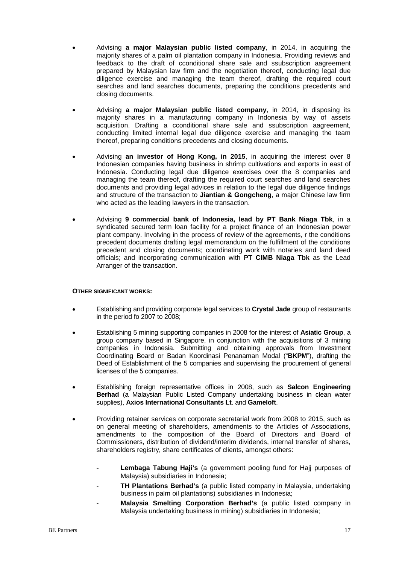- Advising **a major Malaysian public listed company**, in 2014, in acquiring the majority shares of a palm oil plantation company in Indonesia. Providing reviews and feedback to the draft of cconditional share sale and ssubscription aagreement prepared by Malaysian law firm and the negotiation thereof, conducting legal due diligence exercise and managing the team thereof, drafting the required court searches and land searches documents, preparing the conditions precedents and closing documents.
- Advising **a major Malaysian public listed company**, in 2014, in disposing its majority shares in a manufacturing company in Indonesia by way of assets acquisition. Drafting a cconditional share sale and ssubscription aagreement, conducting limited internal legal due diligence exercise and managing the team thereof, preparing conditions precedents and closing documents.
- Advising **an investor of Hong Kong, in 2015**, in acquiring the interest over 8 Indonesian companies having business in shrimp cultivations and exports in east of Indonesia. Conducting legal due diligence exercises over the 8 companies and managing the team thereof, drafting the required court searches and land searches documents and providing legal advices in relation to the legal due diligence findings and structure of the transaction to **Jiantian & Gongcheng**, a major Chinese law firm who acted as the leading lawyers in the transaction.
- Advising **9 commercial bank of Indonesia, lead by PT Bank Niaga Tbk**, in a syndicated secured term loan facility for a project finance of an Indonesian power plant company. Involving in the process of review of the agreements, r the conditions precedent documents drafting legal memorandum on the fulfillment of the conditions precedent and closing documents; coordinating work with notaries and land deed officials; and incorporating communication with **PT CIMB Niaga Tbk** as the Lead Arranger of the transaction.

#### **OTHER SIGNIFICANT WORKS:**

- Establishing and providing corporate legal services to **Crystal Jade** group of restaurants in the period fo 2007 to 2008;
- Establishing 5 mining supporting companies in 2008 for the interest of **Asiatic Group**, a group company based in Singapore, in conjunction with the acquisitions of 3 mining companies in Indonesia. Submitting and obtaining approvals from Investment Coordinating Board or Badan Koordinasi Penanaman Modal ("**BKPM**"), drafting the Deed of Establishment of the 5 companies and supervising the procurement of general licenses of the 5 companies.
- Establishing foreign representative offices in 2008, such as **Salcon Engineering Berhad** (a Malaysian Public Listed Company undertaking business in clean water supplies), **Axios International Consultants Lt**. and **Gameloft**.
- Providing retainer services on corporate secretarial work from 2008 to 2015, such as on general meeting of shareholders, amendments to the Articles of Associations, amendments to the composition of the Board of Directors and Board of Commissioners, distribution of dividend/interim dividends, internal transfer of shares, shareholders registry, share certificates of clients, amongst others:
	- Lembaga Tabung Haji's (a government pooling fund for Haji purposes of Malaysia) subsidiaries in Indonesia;
	- **TH Plantations Berhad's** (a public listed company in Malaysia, undertaking business in palm oil plantations) subsidiaries in Indonesia;
	- **Malaysia Smelting Corporation Berhad's** (a public listed company in Malaysia undertaking business in mining) subsidiaries in Indonesia;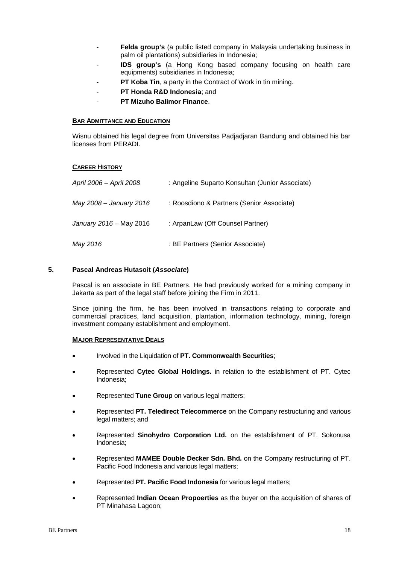- Felda group's (a public listed company in Malaysia undertaking business in palm oil plantations) subsidiaries in Indonesia;
- **IDS group's** (a Hong Kong based company focusing on health care equipments) subsidiaries in Indonesia;
- **PT Koba Tin**, a party in the Contract of Work in tin mining.
- **PT Honda R&D Indonesia**; and
- **PT Mizuho Balimor Finance**.

Wisnu obtained his legal degree from Universitas Padjadjaran Bandung and obtained his bar licenses from PERADI.

#### **CAREER HISTORY**

| April 2006 - April 2008 | : Angeline Suparto Konsultan (Junior Associate) |
|-------------------------|-------------------------------------------------|
| May 2008 – January 2016 | : Roosdiono & Partners (Senior Associate)       |
| January 2016 - May 2016 | : ArpanLaw (Off Counsel Partner)                |
| May 2016                | : BE Partners (Senior Associate)                |

#### **5. Pascal Andreas Hutasoit (***Associate***)**

Pascal is an associate in BE Partners. He had previously worked for a mining company in Jakarta as part of the legal staff before joining the Firm in 2011.

Since joining the firm, he has been involved in transactions relating to corporate and commercial practices, land acquisition, plantation, information technology, mining, foreign investment company establishment and employment.

#### **MAJOR REPRESENTATIVE DEALS**

- Involved in the Liquidation of **PT. Commonwealth Securities**;
- Represented **Cytec Global Holdings.** in relation to the establishment of PT. Cytec Indonesia;
- Represented **Tune Group** on various legal matters;
- Represented **PT. Teledirect Telecommerce** on the Company restructuring and various legal matters; and
- Represented **Sinohydro Corporation Ltd.** on the establishment of PT. Sokonusa Indonesia;
- Represented **MAMEE Double Decker Sdn. Bhd.** on the Company restructuring of PT. Pacific Food Indonesia and various legal matters;
- Represented **PT. Pacific Food Indonesia** for various legal matters;
- Represented **Indian Ocean Propoerties** as the buyer on the acquisition of shares of PT Minahasa Lagoon;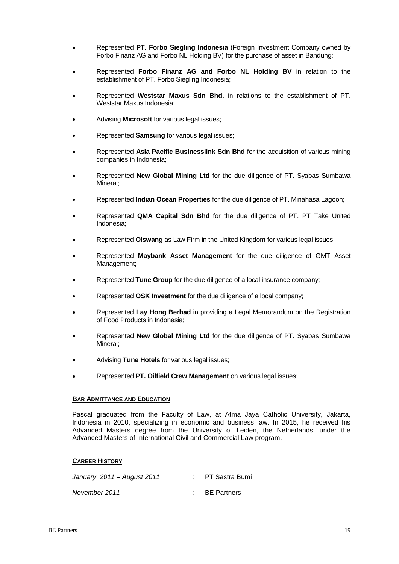- Represented **PT. Forbo Siegling Indonesia** (Foreign Investment Company owned by Forbo Finanz AG and Forbo NL Holding BV) for the purchase of asset in Bandung;
- Represented **Forbo Finanz AG and Forbo NL Holding BV** in relation to the establishment of PT. Forbo Siegling Indonesia;
- Represented **Weststar Maxus Sdn Bhd.** in relations to the establishment of PT. Weststar Maxus Indonesia;
- Advising **Microsoft** for various legal issues;
- Represented **Samsung** for various legal issues;
- Represented **Asia Pacific Businesslink Sdn Bhd** for the acquisition of various mining companies in Indonesia;
- Represented **New Global Mining Ltd** for the due diligence of PT. Syabas Sumbawa Mineral;
- Represented **Indian Ocean Properties** for the due diligence of PT. Minahasa Lagoon;
- Represented **QMA Capital Sdn Bhd** for the due diligence of PT. PT Take United Indonesia;
- Represented **Olswang** as Law Firm in the United Kingdom for various legal issues;
- Represented **Maybank Asset Management** for the due diligence of GMT Asset Management;
- Represented **Tune Group** for the due diligence of a local insurance company;
- Represented **OSK Investment** for the due diligence of a local company;
- Represented **Lay Hong Berhad** in providing a Legal Memorandum on the Registration of Food Products in Indonesia;
- Represented **New Global Mining Ltd** for the due diligence of PT. Syabas Sumbawa Mineral;
- Advising T**une Hotels** for various legal issues;
- Represented **PT. Oilfield Crew Management** on various legal issues;

Pascal graduated from the Faculty of Law, at Atma Jaya Catholic University, Jakarta, Indonesia in 2010, specializing in economic and business law. In 2015, he received his Advanced Masters degree from the University of Leiden, the Netherlands, under the Advanced Masters of International Civil and Commercial Law program.

#### **CAREER HISTORY**

| January 2011 - August 2011 | : PT Sastra Bumi |
|----------------------------|------------------|
| November 2011              | : BE Partners    |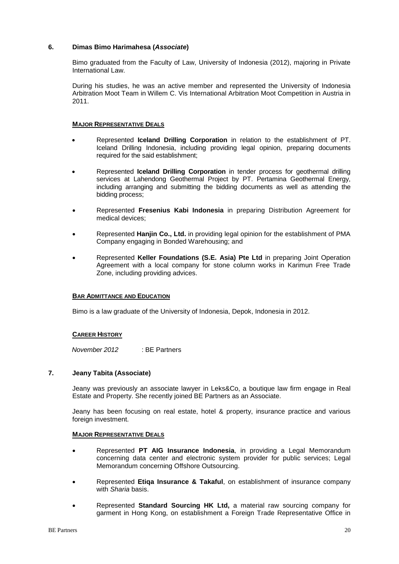### **6. Dimas Bimo Harimahesa (***Associate***)**

Bimo graduated from the Faculty of Law, University of Indonesia (2012), majoring in Private International Law.

During his studies, he was an active member and represented the University of Indonesia Arbitration Moot Team in Willem C. Vis International Arbitration Moot Competition in Austria in 2011.

#### **MAJOR REPRESENTATIVE DEALS**

- Represented **Iceland Drilling Corporation** in relation to the establishment of PT. Iceland Drilling Indonesia, including providing legal opinion, preparing documents required for the said establishment;
- Represented **Iceland Drilling Corporation** in tender process for geothermal drilling services at Lahendong Geothermal Project by PT. Pertamina Geothermal Energy, including arranging and submitting the bidding documents as well as attending the bidding process;
- Represented **Fresenius Kabi Indonesia** in preparing Distribution Agreement for medical devices;
- Represented **Hanjin Co., Ltd.** in providing legal opinion for the establishment of PMA Company engaging in Bonded Warehousing; and
- Represented **Keller Foundations (S.E. Asia) Pte Ltd** in preparing Joint Operation Agreement with a local company for stone column works in Karimun Free Trade Zone, including providing advices.

#### **BAR ADMITTANCE AND EDUCATION**

Bimo is a law graduate of the University of Indonesia, Depok, Indonesia in 2012.

#### **CAREER HISTORY**

*November 2012* : BE Partners

#### **7. Jeany Tabita (Associate)**

Jeany was previously an associate lawyer in Leks&Co, a boutique law firm engage in Real Estate and Property. She recently joined BE Partners as an Associate.

Jeany has been focusing on real estate, hotel & property, insurance practice and various foreign investment.

#### **MAJOR REPRESENTATIVE DEALS**

- Represented **PT AIG Insurance Indonesia**, in providing a Legal Memorandum concerning data center and electronic system provider for public services; Legal Memorandum concerning Offshore Outsourcing.
- Represented **Etiqa Insurance & Takaful**, on establishment of insurance company with *Sharia* basis.
- Represented **Standard Sourcing HK Ltd,** a material raw sourcing company for garment in Hong Kong, on establishment a Foreign Trade Representative Office in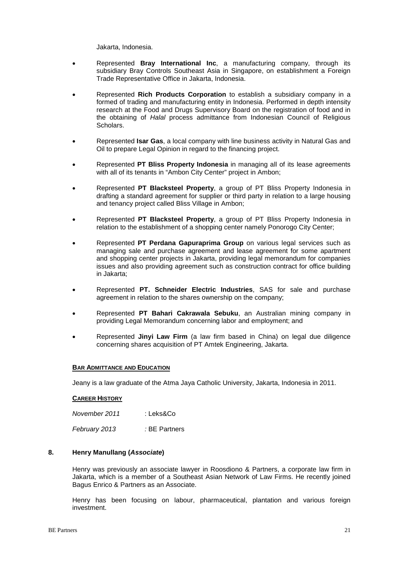Jakarta, Indonesia.

- Represented **Bray International Inc**, a manufacturing company, through its subsidiary Bray Controls Southeast Asia in Singapore, on establishment a Foreign Trade Representative Office in Jakarta, Indonesia.
- Represented **Rich Products Corporation** to establish a subsidiary company in a formed of trading and manufacturing entity in Indonesia. Performed in depth intensity research at the Food and Drugs Supervisory Board on the registration of food and in the obtaining of *Halal* process admittance from Indonesian Council of Religious Scholars.
- Represented **Isar Gas**, a local company with line business activity in Natural Gas and Oil to prepare Legal Opinion in regard to the financing project.
- Represented **PT Bliss Property Indonesia** in managing all of its lease agreements with all of its tenants in "Ambon City Center" project in Ambon;
- Represented **PT Blacksteel Property**, a group of PT Bliss Property Indonesia in drafting a standard agreement for supplier or third party in relation to a large housing and tenancy project called Bliss Village in Ambon;
- Represented **PT Blacksteel Property**, a group of PT Bliss Property Indonesia in relation to the establishment of a shopping center namely Ponorogo City Center;
- Represented **PT Perdana Gapuraprima Group** on various legal services such as managing sale and purchase agreement and lease agreement for some apartment and shopping center projects in Jakarta, providing legal memorandum for companies issues and also providing agreement such as construction contract for office building in Jakarta;
- Represented **PT. Schneider Electric Industries**, SAS for sale and purchase agreement in relation to the shares ownership on the company;
- Represented **PT Bahari Cakrawala Sebuku**, an Australian mining company in providing Legal Memorandum concerning labor and employment; and
- Represented **Jinyi Law Firm** (a law firm based in China) on legal due diligence concerning shares acquisition of PT Amtek Engineering, Jakarta.

#### **BAR ADMITTANCE AND EDUCATION**

Jeany is a law graduate of the Atma Jaya Catholic University, Jakarta, Indonesia in 2011.

#### **CAREER HISTORY**

*November 2011* : Leks&Co *February 2013 :* BE Partners

### **8. Henry Manullang (***Associate***)**

Henry was previously an associate lawyer in Roosdiono & Partners, a corporate law firm in Jakarta, which is a member of a Southeast Asian Network of Law Firms. He recently joined Bagus Enrico & Partners as an Associate.

Henry has been focusing on labour, pharmaceutical, plantation and various foreign investment.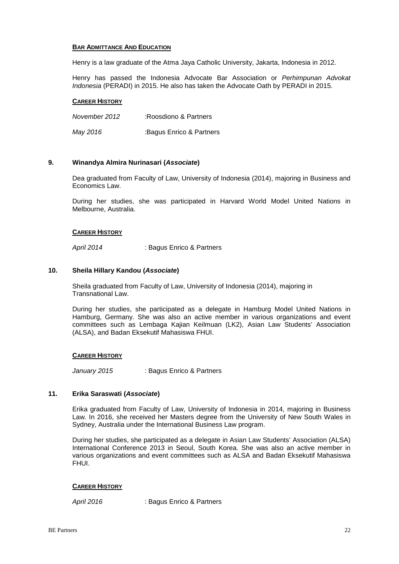Henry is a law graduate of the Atma Jaya Catholic University, Jakarta, Indonesia in 2012.

Henry has passed the Indonesia Advocate Bar Association or *Perhimpunan Advokat Indonesia* (PERADI) in 2015. He also has taken the Advocate Oath by PERADI in 2015.

#### **CAREER HISTORY**

*November 2012* :Roosdiono & Partners

*May 2016* :Bagus Enrico & Partners

### **9. Winandya Almira Nurinasari (***Associate***)**

Dea graduated from Faculty of Law, University of Indonesia (2014), majoring in Business and Economics Law.

During her studies, she was participated in Harvard World Model United Nations in Melbourne, Australia.

#### **CAREER HISTORY**

*April 2014* : Bagus Enrico & Partners

#### **10. Sheila Hillary Kandou (***Associate***)**

Sheila graduated from Faculty of Law, University of Indonesia (2014), majoring in Transnational Law.

During her studies, she participated as a delegate in Hamburg Model United Nations in Hamburg, Germany. She was also an active member in various organizations and event committees such as Lembaga Kajian Keilmuan (LK2), Asian Law Students' Association (ALSA), and Badan Eksekutif Mahasiswa FHUI.

#### **CAREER HISTORY**

*January 2015* : Bagus Enrico & Partners

# **11. Erika Saraswati (***Associate***)**

Erika graduated from Faculty of Law, University of Indonesia in 2014, majoring in Business Law. In 2016, she received her Masters degree from the University of New South Wales in Sydney, Australia under the International Business Law program.

During her studies, she participated as a delegate in Asian Law Students' Association (ALSA) International Conference 2013 in Seoul, South Korea. She was also an active member in various organizations and event committees such as ALSA and Badan Eksekutif Mahasiswa FHUI.

#### **CAREER HISTORY**

*April 2016* : Bagus Enrico & Partners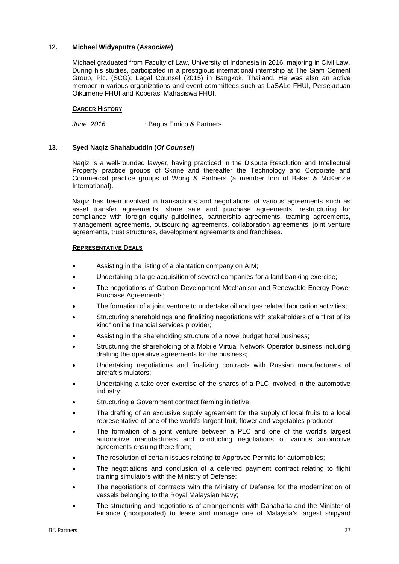# **12. Michael Widyaputra (***Associate***)**

Michael graduated from Faculty of Law, University of Indonesia in 2016, majoring in Civil Law. During his studies, participated in a prestigious international internship at The Siam Cement Group, Plc. (SCG): Legal Counsel (2015) in Bangkok, Thailand. He was also an active member in various organizations and event committees such as LaSALe FHUI, Persekutuan Oikumene FHUI and Koperasi Mahasiswa FHUI.

#### **CAREER HISTORY**

*June 2016* : Bagus Enrico & Partners

#### **13. Syed Naqiz Shahabuddin (***Of Counsel***)**

Naqiz is a well-rounded lawyer, having practiced in the Dispute Resolution and Intellectual Property practice groups of Skrine and thereafter the Technology and Corporate and Commercial practice groups of Wong & Partners (a member firm of Baker & McKenzie International).

Naqiz has been involved in transactions and negotiations of various agreements such as asset transfer agreements, share sale and purchase agreements, restructuring for compliance with foreign equity guidelines, partnership agreements, teaming agreements, management agreements, outsourcing agreements, collaboration agreements, joint venture agreements, trust structures, development agreements and franchises.

#### **REPRESENTATIVE DEALS**

- Assisting in the listing of a plantation company on AIM;
- Undertaking a large acquisition of several companies for a land banking exercise;
- The negotiations of Carbon Development Mechanism and Renewable Energy Power Purchase Agreements;
- The formation of a joint venture to undertake oil and gas related fabrication activities;
- Structuring shareholdings and finalizing negotiations with stakeholders of a "first of its kind" online financial services provider;
- Assisting in the shareholding structure of a novel budget hotel business;
- Structuring the shareholding of a Mobile Virtual Network Operator business including drafting the operative agreements for the business;
- Undertaking negotiations and finalizing contracts with Russian manufacturers of aircraft simulators;
- Undertaking a take-over exercise of the shares of a PLC involved in the automotive industry;
- Structuring a Government contract farming initiative:
- The drafting of an exclusive supply agreement for the supply of local fruits to a local representative of one of the world's largest fruit, flower and vegetables producer;
- The formation of a joint venture between a PLC and one of the world's largest automotive manufacturers and conducting negotiations of various automotive agreements ensuing there from;
- The resolution of certain issues relating to Approved Permits for automobiles;
- The negotiations and conclusion of a deferred payment contract relating to flight training simulators with the Ministry of Defense;
- The negotiations of contracts with the Ministry of Defense for the modernization of vessels belonging to the Royal Malaysian Navy;
- The structuring and negotiations of arrangements with Danaharta and the Minister of Finance (Incorporated) to lease and manage one of Malaysia's largest shipyard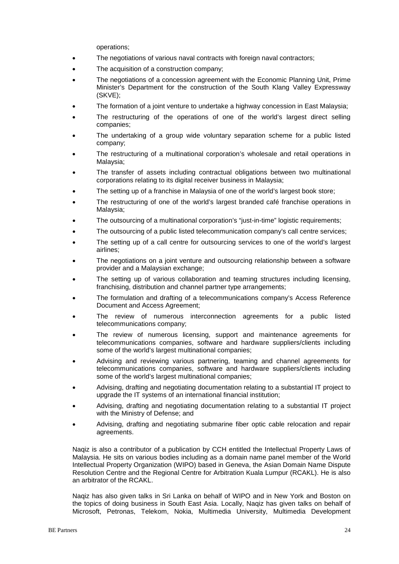operations;

- The negotiations of various naval contracts with foreign naval contractors;
- The acquisition of a construction company;
- The negotiations of a concession agreement with the Economic Planning Unit, Prime Minister's Department for the construction of the South Klang Valley Expressway (SKVE);
- The formation of a joint venture to undertake a highway concession in East Malaysia;
- The restructuring of the operations of one of the world's largest direct selling companies;
- The undertaking of a group wide voluntary separation scheme for a public listed company;
- The restructuring of a multinational corporation's wholesale and retail operations in Malaysia;
- The transfer of assets including contractual obligations between two multinational corporations relating to its digital receiver business in Malaysia;
- The setting up of a franchise in Malaysia of one of the world's largest book store;
- The restructuring of one of the world's largest branded café franchise operations in Malaysia;
- The outsourcing of a multinational corporation's "just-in-time" logistic requirements;
- The outsourcing of a public listed telecommunication company's call centre services;
- The setting up of a call centre for outsourcing services to one of the world's largest airlines;
- The negotiations on a joint venture and outsourcing relationship between a software provider and a Malaysian exchange;
- The setting up of various collaboration and teaming structures including licensing, franchising, distribution and channel partner type arrangements;
- The formulation and drafting of a telecommunications company's Access Reference Document and Access Agreement;
- The review of numerous interconnection agreements for a public listed telecommunications company;
- The review of numerous licensing, support and maintenance agreements for telecommunications companies, software and hardware suppliers/clients including some of the world's largest multinational companies;
- Advising and reviewing various partnering, teaming and channel agreements for telecommunications companies, software and hardware suppliers/clients including some of the world's largest multinational companies;
- Advising, drafting and negotiating documentation relating to a substantial IT project to upgrade the IT systems of an international financial institution;
- Advising, drafting and negotiating documentation relating to a substantial IT project with the Ministry of Defense; and
- Advising, drafting and negotiating submarine fiber optic cable relocation and repair agreements.

Naqiz is also a contributor of a publication by CCH entitled the Intellectual Property Laws of Malaysia. He sits on various bodies including as a domain name panel member of the World Intellectual Property Organization (WIPO) based in Geneva, the Asian Domain Name Dispute Resolution Centre and the Regional Centre for Arbitration Kuala Lumpur (RCAKL). He is also an arbitrator of the RCAKL.

Naqiz has also given talks in Sri Lanka on behalf of WIPO and in New York and Boston on the topics of doing business in South East Asia. Locally, Naqiz has given talks on behalf of Microsoft, Petronas, Telekom, Nokia, Multimedia University, Multimedia Development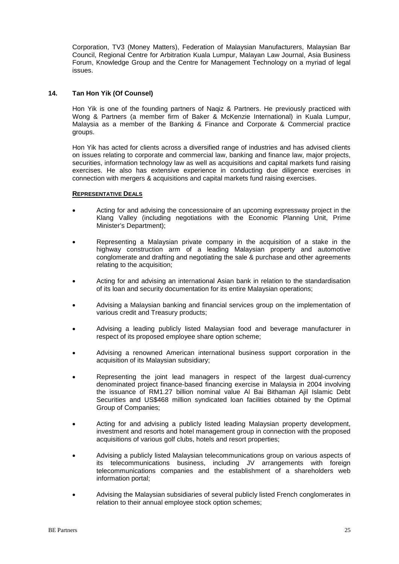Corporation, TV3 (Money Matters), Federation of Malaysian Manufacturers, Malaysian Bar Council, Regional Centre for Arbitration Kuala Lumpur, Malayan Law Journal, Asia Business Forum, Knowledge Group and the Centre for Management Technology on a myriad of legal issues.

### **14. Tan Hon Yik (Of Counsel)**

Hon Yik is one of the founding partners of Naqiz & Partners. He previously practiced with Wong & Partners (a member firm of Baker & McKenzie International) in Kuala Lumpur, Malaysia as a member of the Banking & Finance and Corporate & Commercial practice groups.

Hon Yik has acted for clients across a diversified range of industries and has advised clients on issues relating to corporate and commercial law, banking and finance law, major projects, securities, information technology law as well as acquisitions and capital markets fund raising exercises. He also has extensive experience in conducting due diligence exercises in connection with mergers & acquisitions and capital markets fund raising exercises.

#### **REPRESENTATIVE DEALS**

- Acting for and advising the concessionaire of an upcoming expressway project in the Klang Valley (including negotiations with the Economic Planning Unit, Prime Minister's Department);
- Representing a Malaysian private company in the acquisition of a stake in the highway construction arm of a leading Malaysian property and automotive conglomerate and drafting and negotiating the sale & purchase and other agreements relating to the acquisition;
- Acting for and advising an international Asian bank in relation to the standardisation of its loan and security documentation for its entire Malaysian operations;
- Advising a Malaysian banking and financial services group on the implementation of various credit and Treasury products;
- Advising a leading publicly listed Malaysian food and beverage manufacturer in respect of its proposed employee share option scheme;
- Advising a renowned American international business support corporation in the acquisition of its Malaysian subsidiary;
- Representing the joint lead managers in respect of the largest dual-currency denominated project finance-based financing exercise in Malaysia in 2004 involving the issuance of RM1.27 billion nominal value Al Bai Bithaman Ajil Islamic Debt Securities and US\$468 million syndicated loan facilities obtained by the Optimal Group of Companies;
- Acting for and advising a publicly listed leading Malaysian property development, investment and resorts and hotel management group in connection with the proposed acquisitions of various golf clubs, hotels and resort properties;
- Advising a publicly listed Malaysian telecommunications group on various aspects of its telecommunications business, including JV arrangements with foreign telecommunications companies and the establishment of a shareholders web information portal;
- Advising the Malaysian subsidiaries of several publicly listed French conglomerates in relation to their annual employee stock option schemes;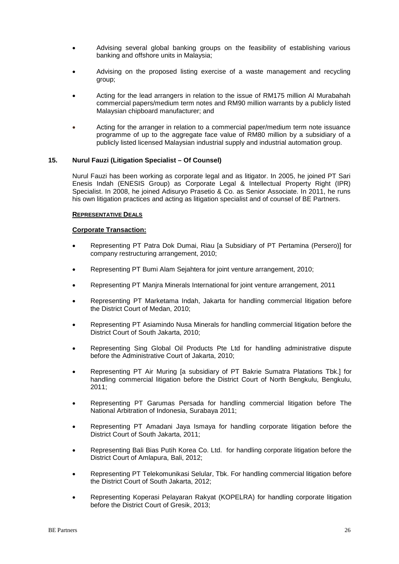- Advising several global banking groups on the feasibility of establishing various banking and offshore units in Malaysia;
- Advising on the proposed listing exercise of a waste management and recycling group;
- Acting for the lead arrangers in relation to the issue of RM175 million Al Murabahah commercial papers/medium term notes and RM90 million warrants by a publicly listed Malaysian chipboard manufacturer; and
- Acting for the arranger in relation to a commercial paper/medium term note issuance programme of up to the aggregate face value of RM80 million by a subsidiary of a publicly listed licensed Malaysian industrial supply and industrial automation group.

#### **15. Nurul Fauzi (Litigation Specialist – Of Counsel)**

Nurul Fauzi has been working as corporate legal and as litigator. In 2005, he joined PT Sari Enesis Indah (ENESIS Group) as Corporate Legal & Intellectual Property Right (IPR) Specialist. In 2008, he joined Adisuryo Prasetio & Co. as Senior Associate. In 2011, he runs his own litigation practices and acting as litigation specialist and of counsel of BE Partners.

#### **REPRESENTATIVE DEALS**

#### **Corporate Transaction:**

- Representing PT Patra Dok Dumai, Riau [a Subsidiary of PT Pertamina (Persero)] for company restructuring arrangement, 2010;
- Representing PT Bumi Alam Sejahtera for joint venture arrangement, 2010;
- Representing PT Manjra Minerals International for joint venture arrangement, 2011
- Representing PT Marketama Indah, Jakarta for handling commercial litigation before the District Court of Medan, 2010;
- Representing PT Asiamindo Nusa Minerals for handling commercial litigation before the District Court of South Jakarta, 2010;
- Representing Sing Global Oil Products Pte Ltd for handling administrative dispute before the Administrative Court of Jakarta, 2010;
- Representing PT Air Muring [a subsidiary of PT Bakrie Sumatra Platations Tbk.] for handling commercial litigation before the District Court of North Bengkulu, Bengkulu, 2011;
- Representing PT Garumas Persada for handling commercial litigation before The National Arbitration of Indonesia, Surabaya 2011;
- Representing PT Amadani Jaya Ismaya for handling corporate litigation before the District Court of South Jakarta, 2011;
- Representing Bali Bias Putih Korea Co. Ltd. for handling corporate litigation before the District Court of Amlapura, Bali, 2012;
- Representing PT Telekomunikasi Selular, Tbk. For handling commercial litigation before the District Court of South Jakarta, 2012;
- Representing Koperasi Pelayaran Rakyat (KOPELRA) for handling corporate litigation before the District Court of Gresik, 2013;